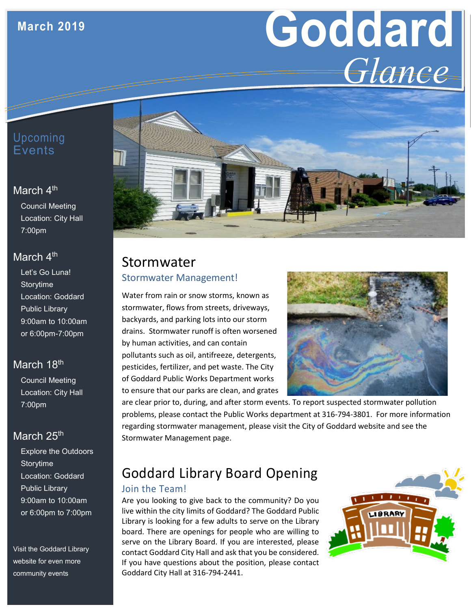## **March 2019**

# **Goddard** *Glance*

## Upcoming Events

## March 4<sup>th</sup>

Council Meeting Location: City Hall 7:00pm

## March 4<sup>th</sup>

Let's Go Luna! **Storvtime** Location: Goddard Public Library 9:00am to 10:00am or 6:00pm-7:00pm

## March 18th

Council Meeting Location: City Hall 7:00pm

## March 25<sup>th</sup>

Explore the Outdoors Storytime Location: Goddard Public Library 9:00am to 10:00am or 6:00pm to 7:00pm

Visit the Goddard Library website for even more community events



## Stormwater Stormwater Management!

Water from rain or snow storms, known as stormwater, flows from streets, driveways, backyards, and parking lots into our storm drains. Stormwater runoff is often worsened by human activities, and can contain pollutants such as oil, antifreeze, detergents, pesticides, fertilizer, and pet waste. The City of Goddard Public Works Department works to ensure that our parks are clean, and grates



are clear prior to, during, and after storm events. To report suspected stormwater pollution problems, please contact the Public Works department at 316-794-3801. For more information regarding stormwater management, please visit the City of Goddard website and see the Stormwater Management page.

# Goddard Library Board Opening

#### Join the Team!

Are you looking to give back to the community? Do you live within the city limits of Goddard? The Goddard Public Library is looking for a few adults to serve on the Library board. There are openings for people who are willing to serve on the Library Board. If you are interested, please contact Goddard City Hall and ask that you be considered. If you have questions about the position, please contact Goddard City Hall at 316-794-2441.